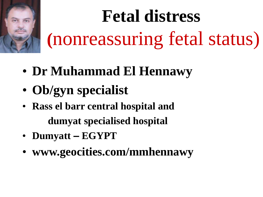

# **Fetal distress (**nonreassuring fetal status)

- **Dr Muhammad El Hennawy**
- **Ob/gyn specialist**
- **Rass el barr central hospital and dumyat specialised hospital**
- **Dumyatt – EGYPT**
- **www.geocities.com/mmhennawy**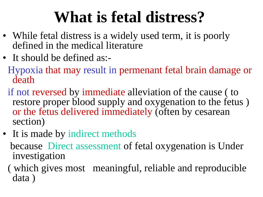## **What is fetal distress?**

- While fetal distress is a widely used term, it is poorly defined in the medical literature
- It should be defined as:-

Hypoxia that may result in permenant fetal brain damage or death

if not reversed by immediate alleviation of the cause ( to restore proper blood supply and oxygenation to the fetus ) or the fetus delivered immediately (often by cesarean section)

• It is made by indirect methods

because Direct assessment of fetal oxygenation is Under investigation

( which gives most meaningful, reliable and reproducible data )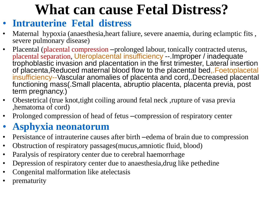#### **What can cause Fetal Distress?**

- **Intrauterine Fetal distress**
- Maternal hypoxia (anaesthesia, heart faliure, severe anaemia, during eclamptic fits, severe pulmonary disease)
- Placental (placental compression –prolonged labour, tonically contracted uterus, placental separation, Uteroplacental insufficiency --.Improper / inadequate trophoblastic invasion and placentation in the first trimester, Lateral insertion of placenta,Reduced maternal blood flow to the placental bed,.Foetoplacetal insufficiency--Vascular anomalies of placenta and cord,.Decreased placental functioning mass(.Small placenta, abruptio placenta, placenta previa, post term pregnancy.)
- Obestetrical (true knot,tight coiling around fetal neck ,rupture of vasa previa ,hematoma of cord)
- Prolonged compression of head of fetus –compression of respiratory center

#### • **Asphyxia neonatorum**

- Persistance of intrauterine causes after birth –edema of brain due to compression
- Obstruction of respiratory passages(mucus,amniotic fluid, blood)
- Paralysis of respiratory center due to cerebral haemorrhage
- Depression of respiratory center due to anaesthesia, drug like pethedine
- Congenital malformation like atelectasis
- prematurity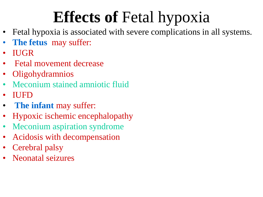# **Effects of** Fetal hypoxia

- Fetal hypoxia is associated with severe complications in all systems.
- **The fetus** may suffer:
- IUGR
- Fetal movement decrease
- Oligohydramnios
- Meconium stained amniotic fluid
- IUFD
- **The infant** may suffer:
- Hypoxic ischemic encephalopathy
- Meconium aspiration syndrome
- Acidosis with decompensation
- Cerebral palsy
- Neonatal seizures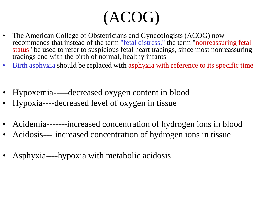## (ACOG)

- The American College of Obstetricians and Gynecologists (ACOG) now recommends that instead of the term "fetal distress," the term "nonreassuring fetal status" be used to refer to suspicious fetal heart tracings, since most nonreassuring tracings end with the birth of normal, healthy infants
- Birth asphyxia should be replaced with asphyxia with reference to its specific time
- Hypoxemia-----decreased oxygen content in blood
- Hypoxia----decreased level of oxygen in tissue
- Acidemia-------increased concentration of hydrogen ions in blood
- Acidosis--- increased concentration of hydrogen ions in tissue
- Asphyxia----hypoxia with metabolic acidosis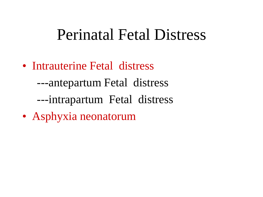#### Perinatal Fetal Distress

• Intrauterine Fetal distress

---antepartum Fetal distress

- ---intrapartum Fetal distress
- Asphyxia neonatorum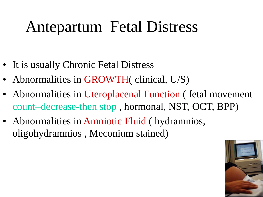#### Antepartum Fetal Distress

- It is usually Chronic Fetal Distress
- Abnormalities in GROWTH( clinical, U/S)
- Abnormalities in Uteroplacenal Function (fetal movement count–decrease-then stop , hormonal, NST, OCT, BPP)
- Abnormalities in Amniotic Fluid ( hydramnios, oligohydramnios , Meconium stained)

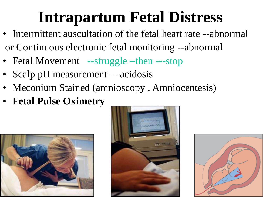#### **Intrapartum Fetal Distress**

- Intermittent auscultation of the fetal heart rate --abnormal or Continuous electronic fetal monitoring --abnormal
- Fetal Movement --struggle –then ---stop
- Scalp pH measurement ---acidosis
- Meconium Stained (amnioscopy, Amniocentesis)
- **Fetal Pulse Oximetry**





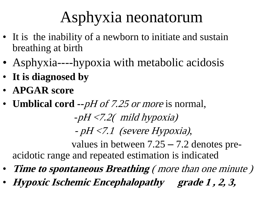#### Asphyxia neonatorum

- It is the inability of a newborn to initiate and sustain breathing at birth
- Asphyxia----hypoxia with metabolic acidosis
- **It is diagnosed by**
- **APGAR score**
- **Umblical cord --**pH of 7.25 or more is normal,

-pH <7.2( mild hypoxia)

 $pH < 7.1$  (severe Hypoxia),

values in between 7.25 – 7.2 denotes preacidotic range and repeated estimation is indicated

- **Time to spontaneous Breathing** ( more than one minute )
- **Hypoxic Ischemic Encephalopathy grade 1 , 2, 3,**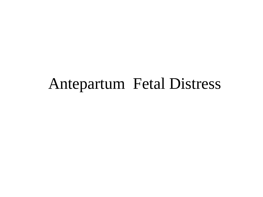#### Antepartum Fetal Distress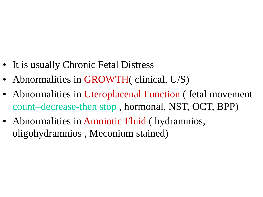- It is usually Chronic Fetal Distress
- Abnormalities in GROWTH( clinical, U/S)
- Abnormalities in Uteroplacenal Function (fetal movement count–decrease-then stop , hormonal, NST, OCT, BPP)
- Abnormalities in Amniotic Fluid ( hydramnios, oligohydramnios , Meconium stained)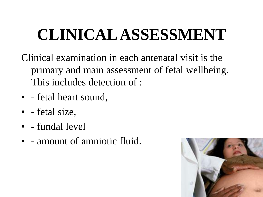# **CLINICAL ASSESSMENT**

- Clinical examination in each antenatal visit is the primary and main assessment of fetal wellbeing. This includes detection of :
- - fetal heart sound,
- - fetal size,
- - fundal level
- - amount of amniotic fluid.

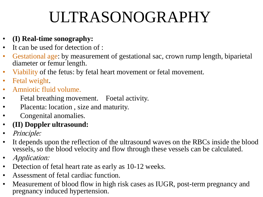## ULTRASONOGRAPHY

- **(I) Real-time sonography:**
- It can be used for detection of :
- Gestational age: by measurement of gestational sac, crown rump length, biparietal diameter or femur length.
- Viability of the fetus: by fetal heart movement or fetal movement.
- Fetal weight.
- Amniotic fluid volume.
- Fetal breathing movement. Foetal activity.
- Placenta: location, size and maturity.
- Congenital anomalies.
- **(II) Doppler ultrasound:**
- *Principle:*
- It depends upon the reflection of the ultrasound waves on the RBCs inside the blood vessels, so the blood velocity and flow through these vessels can be calculated.
- *Application:*
- Detection of fetal heart rate as early as 10-12 weeks.
- Assessment of fetal cardiac function.
- Measurement of blood flow in high risk cases as IUGR, post-term pregnancy and pregnancy induced hypertension.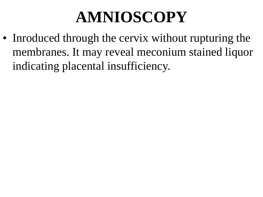#### **AMNIOSCOPY**

• Inroduced through the cervix without rupturing the membranes. It may reveal meconium stained liquor indicating placental insufficiency.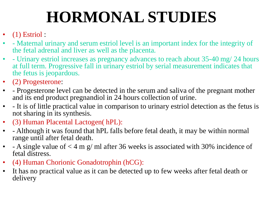# **HORMONAL STUDIES**

- $(1)$  Estriol :
- - Maternal urinary and serum estriol level is an important index for the integrity of the fetal adrenal and liver as well as the placenta.
- - Urinary estriol increases as pregnancy advances to reach about 35-40 mg/ 24 hours at full term. Progressive fall in urinary estriol by serial measurement indicates that the fetus is jeopardous.
- (2) Progesterone:
- - Progesterone level can be detected in the serum and saliva of the pregnant mother and its end product pregnandiol in 24 hours collection of urine.
- - It is of little practical value in comparison to urinary estriol detection as the fetus is not sharing in its synthesis.
- (3) Human Placental Lactogen( hPL):
- - Although it was found that hPL falls before fetal death, it may be within normal range until after fetal death.
- - A single value of  $<$  4 m g/ ml after 36 weeks is associated with 30% incidence of fetal distress.
- (4) Human Chorionic Gonadotrophin (hCG):
- It has no practical value as it can be detected up to few weeks after fetal death or delivery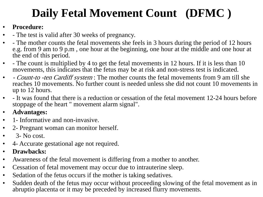#### **Daily Fetal Movement Count (DFMC )**

#### • **Procedure:**

- - The test is valid after 30 weeks of pregnancy.
- - The mother counts the fetal movements she feels in 3 hours during the period of 12 hours e.g. from 9 am to 9 p.m , one hour at the beginning, one hour at the middle and one hour at the end of this period.
- - The count is multiplied by 4 to get the fetal movements in 12 hours. If it is less than 10 movements, this indicates that the fetus may be at risk and non-stress test is indicated.
- *Count-to -ten Cardiff system*: The mother counts the fetal movements from 9 am till she reaches 10 movements. No further count is needed unless she did not count 10 movements in up to 12 hours.
- - It was found that there is a reduction or cessation of the fetal movement 12-24 hours before stoppage of the heart " movement alarm signal".
- **Advantages:**
- 1 Informative and non-invasive.
- 2- Pregnant woman can monitor herself.
- $\bullet$  3- No cost.
- 4- Accurate gestational age not required.
- **Drawbacks:**
- Awareness of the fetal movement is differing from a mother to another.
- Cessation of fetal movement may occur due to intrauterine sleep.
- Sedation of the fetus occurs if the mother is taking sedatives.
- Sudden death of the fetus may occur without proceeding slowing of the fetal movement as in abruptio placenta or it may be preceded by increased flurry movements.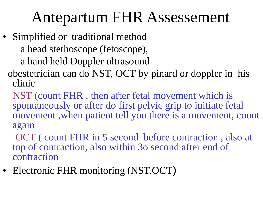#### Antepartum FHR Assessement

- Simplified or traditional method a head stethoscope (fetoscope),
	- a hand held Doppler ultrasound
	- obestetrician can do NST, OCT by pinard or doppler in his clinic
		- NST (count FHR , then after fetal movement which is spontaneously or after do first pelvic grip to initiate fetal movement ,when patient tell you there is a movement, count again
		- OCT ( count FHR in 5 second before contraction , also at top of contraction, also within 3o second after end of contraction
- Electronic FHR monitoring (NST.OCT)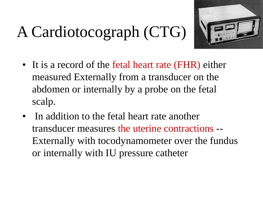# A Cardiotocograph (CTG)



- It is a record of the fetal heart rate (FHR) either measured Externally from a transducer on the abdomen or internally by a probe on the fetal scalp.
- In addition to the fetal heart rate another transducer measures the uterine contractions -- Externally with tocodynamometer over the fundus or internally with IU pressure catheter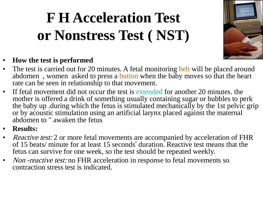#### **F H Acceleration Test or Nonstress Test ( NST)**



#### • **How the test is performed**

- The test is carried out for 20 minutes. A fetal monitoring belt will be placed around abdomen , women asked to press a button when the baby moves so that the heart rate can be seen in relationship to that movement.
- If fetal movement did not occur the test is extended for another 20 minutes. the mother is offered a drink of something usually containing sugar or bubbles to perk the baby up .during which the fetus is stimulated mechanically by the 1st pelvic grip or by acoustic stimulation using an artificial larynx placed against the maternal abdomen to " awaken the fetus
- **Results:**
- Reactive test: 2 or more fetal movements are accompanied by acceleration of FHR of 15 beats/ minute for at least 15 seconds' duration. Reactive test means that the fetus can survive for one week, so the test should be repeated weekly.
- *Non -reactive test:* no FHR acceleration in response to fetal movements so contraction stress test is indicated.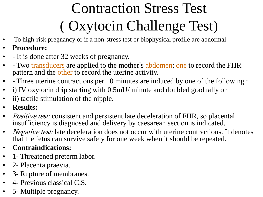# Contraction Stress Test ( Oxytocin Challenge Test)

- To high-risk pregnancy or if a non-stress test or biophysical profile are abnormal
- **Procedure:**
- - It is done after 32 weeks of pregnancy.
- - Two transducers are applied to the mother's abdomen; one to record the FHR pattern and the other to record the uterine activity.
- - Three uterine contractions per 10 minutes are induced by one of the following :
- i) IV oxytocin drip starting with 0.5mU/ minute and doubled gradually or
- ii) tactile stimulation of the nipple.
- **Results:**
- *Positive test:* consistent and persistent late deceleration of FHR, so placental insufficiency is diagnosed and delivery by caesarean section is indicated.
- *Negative test:* late deceleration does not occur with uterine contractions. It denotes that the fetus can survive safely for one week when it should be repeated.
- **Contraindications:**
- 1 Threatened preterm labor.
- 2- Placenta praevia.
- 3- Rupture of membranes.
- 4- Previous classical C.S.
- 5 Multiple pregnancy.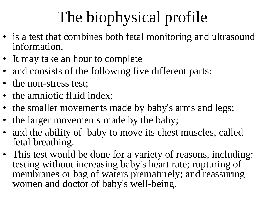# The biophysical profile

- is a test that combines both fetal monitoring and ultrasound information.
- It may take an hour to complete
- and consists of the following five different parts:
- the non-stress test;
- the amniotic fluid index;
- the smaller movements made by baby's arms and legs;
- the larger movements made by the baby;
- and the ability of baby to move its chest muscles, called fetal breathing.
- This test would be done for a variety of reasons, including: testing without increasing baby's heart rate; rupturing of membranes or bag of waters prematurely; and reassuring women and doctor of baby's well-being.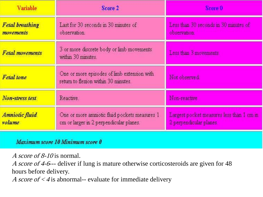| <b>Variable</b>                     | Score 2                                                                                 | Score 0                                                              |  |
|-------------------------------------|-----------------------------------------------------------------------------------------|----------------------------------------------------------------------|--|
| <b>Fetal breathing</b><br>movements | Last for 30 seconds in 30 minutes of<br>observation.                                    | Less than 30 seconds in 30 minutes of<br>observation.                |  |
| <b>Fetal movements</b>              | 3 or more discrete body or limb movements<br>within 30 minutes.                         | Less than 3 movements                                                |  |
| <b>Fetal</b> tone                   | One or more episodes of limb extension with<br>return to flexion within 30 minutes.     | Not observed.                                                        |  |
| Non-stress test                     | Reactive.                                                                               | Non-reactive                                                         |  |
| Amniotic fluid<br>volume            | One or more ammotic fluid pockets measures 1<br>cm or larger in 2 perpendicular planes. | Largest pocket measures less than 1 cm in<br>2 perpendicular planes. |  |

Maximum score 10 Minimum score 0

A score of 8-10 is normal.

A score of 4-6--- deliver if lung is mature otherwise corticosteroids are given for 48 hours before delivery.

A score of  $<$  4 is abnormal-- evaluate for immediate delivery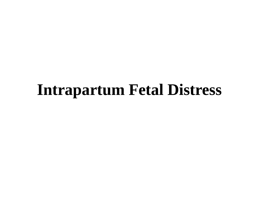#### **Intrapartum Fetal Distress**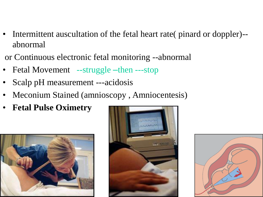- Intermittent auscultation of the fetal heart rate( pinard or doppler)- abnormal
- or Continuous electronic fetal monitoring --abnormal
- Fetal Movement --struggle –then ---stop
- Scalp pH measurement ---acidosis
- Meconium Stained (amnioscopy , Amniocentesis)
- **Fetal Pulse Oximetry**





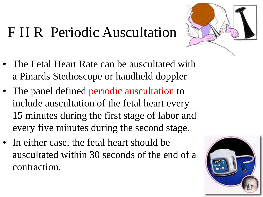#### F H R Periodic Auscultation



- The Fetal Heart Rate can be auscultated with a Pinards Stethoscope or handheld doppler
- The panel defined periodic auscultation to include auscultation of the fetal heart every 15 minutes during the first stage of labor and every five minutes during the second stage.
- In either case, the fetal heart should be auscultated within 30 seconds of the end of a contraction.

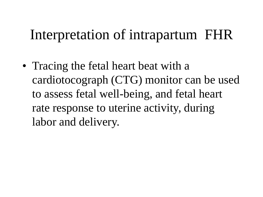#### Interpretation of intrapartum FHR

• Tracing the fetal heart beat with a cardiotocograph (CTG) monitor can be used to assess fetal well-being, and fetal heart rate response to uterine activity, during labor and delivery.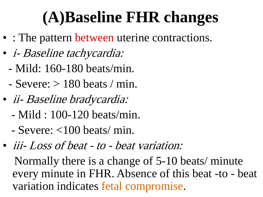# **(A)Baseline FHR changes**

- : The pattern between uterine contractions.
- i- Baseline tachycardia:
	- Mild: 160-180 beats/min.
	- $-$  Severe:  $> 180$  beats / min.
- ii- Baseline bradycardia:
	- Mild : 100-120 beats/min.
	- $-$  Severe:  $<$ 100 beats/ min.
- *iii-Loss of beat to beat variation:*

Normally there is a change of 5-10 beats/ minute every minute in FHR. Absence of this beat -to - beat variation indicates fetal compromise.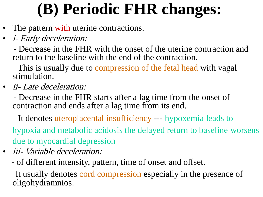# **(B) Periodic FHR changes:**

- The pattern with uterine contractions.
- *i- Early deceleration:*

- Decrease in the FHR with the onset of the uterine contraction and return to the baseline with the end of the contraction.

This is usually due to compression of the fetal head with vagal stimulation.

• *ii-Late deceleration:* 

- Decrease in the FHR starts after a lag time from the onset of contraction and ends after a lag time from its end.

It denotes uteroplacental insufficiency --- hypoxemia leads to hypoxia and metabolic acidosis the delayed return to baseline worsens due to myocardial depression

- *iii- Variable deceleration:* 
	- of different intensity, pattern, time of onset and offset.

It usually denotes cord compression especially in the presence of oligohydramnios.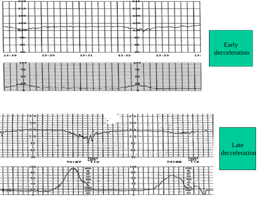



Late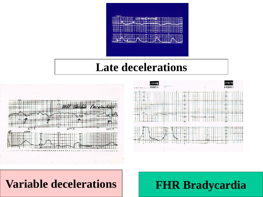

#### **Late decelerations**





#### **Variable decelerations FHR Bradycardia**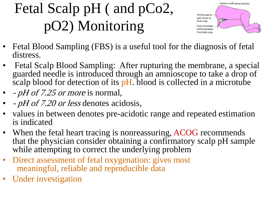#### Fetal Scalp pH ( and pCo2, pO2) Monitoring



- Fetal Blood Sampling (FBS) is a useful tool for the diagnosis of fetal distress.
- Fetal Scalp Blood Sampling: After rupturing the membrane, a special guarded needle is introduced through an amnioscope to take a drop of scalp blood for detection of its pH. blood is collected in a microtube
- *pH of 7.25 or more* is normal,
- - pH of 7.20 or less denotes acidosis,
- values in between denotes pre-acidotic range and repeated estimation is indicated
- When the fetal heart tracing is nonreassuring, ACOG recommends that the physician consider obtaining a confirmatory scalp pH sample while attempting to correct the underlying problem
- Direct assessment of fetal oxygenation: gives most meaningful, reliable and reproducible data
- Under investigation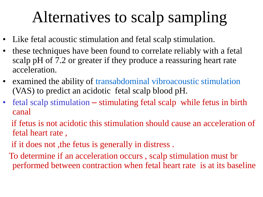#### Alternatives to scalp sampling

- Like fetal acoustic stimulation and fetal scalp stimulation.
- these techniques have been found to correlate reliably with a fetal scalp pH of 7.2 or greater if they produce a reassuring heart rate acceleration.
- examined the ability of transabdominal vibroacoustic stimulation (VAS) to predict an acidotic fetal scalp blood pH.
- fetal scalp stimulation stimulating fetal scalp while fetus in birth canal
	- if fetus is not acidotic this stimulation should cause an acceleration of fetal heart rate ,
	- if it does not ,the fetus is generally in distress .
	- To determine if an acceleration occurs , scalp stimulation must br performed between contraction when fetal heart rate is at its baseline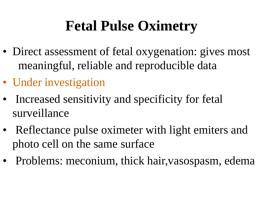#### **Fetal Pulse Oximetry**

- Direct assessment of fetal oxygenation: gives most meaningful, reliable and reproducible data
- Under investigation
- Increased sensitivity and specificity for fetal surveillance
- Reflectance pulse oximeter with light emiters and photo cell on the same surface
- Problems: meconium, thick hair, vasospasm, edema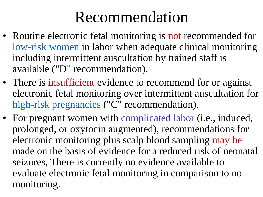#### Recommendation

- Routine electronic fetal monitoring is not recommended for low-risk women in labor when adequate clinical monitoring including intermittent auscultation by trained staff is available ("D" recommendation).
- There is insufficient evidence to recommend for or against electronic fetal monitoring over intermittent auscultation for high-risk pregnancies ("C" recommendation).
- For pregnant women with complicated labor (i.e., induced, prolonged, or oxytocin augmented), recommendations for electronic monitoring plus scalp blood sampling may be made on the basis of evidence for a reduced risk of neonatal seizures, There is currently no evidence available to evaluate electronic fetal monitoring in comparison to no monitoring.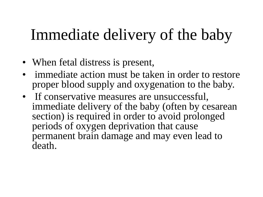#### Immediate delivery of the baby

- When fetal distress is present,
- immediate action must be taken in order to restore proper blood supply and oxygenation to the baby.
- If conservative measures are unsuccessful, immediate delivery of the baby (often by cesarean section) is required in order to avoid prolonged periods of oxygen deprivation that cause permanent brain damage and may even lead to death.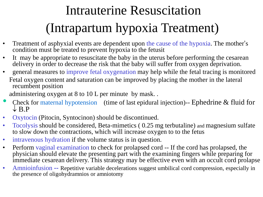#### Intrauterine Resuscitation (Intrapartum hypoxia Treatment)

- Treatment of asphyxial events are dependent upon the cause of the hypoxia. The mother's condition must be treated to prevent hypoxia to the fetusit
- It may be appropriate to resuscitate the baby in the uterus before performing the cesarean delivery in order to decrease the risk that the baby will suffer from oxygen deprivation.
- general measures to improve fetal oxygenation may help while the fetal tracing is monitored Fetal oxygen content and saturation can be improved by placing the mother in the lateral recumbent position

administering oxygen at 8 to 10 L per minute by mask. .

- Check for maternal hypotension (time of last epidural injection)-- Ephedrine & fluid for  $\downarrow$  B.P
- Oxytocin (Pitocin, Syntocinon) should be discontinued.
- Tocolysis should be considered, Beta-mimetics ( 0.25 mg terbutaline) and magnesium sulfate to slow down the contractions, which will increase oxygen to to the fetus
- intravenous hydration if the volume status is in question.
- Perform vaginal examination to check for prolapsed cord -- If the cord has prolapsed, the physician should elevate the presenting part with the examining fingers while preparing for immediate cesarean delivery. This strategy may be effective even with an occult cord prolapse
- Amnioinfusion -- Repetitive variable decelerations suggest umbilical cord compression, especially in the presence of oligohydramnios or amniotomy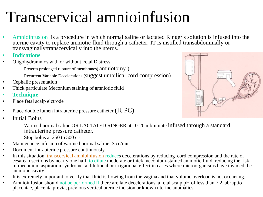#### Transcervical amnioinfusion

- Amnioinfusion is a procedure in which normal saline or lactated Ringer's solution is infused into the uterine cavity to replace amniotic fluid through a catheter; IT is instilled transabdominally or transvaginally/transcervically into the uterus.
- **Indications**
- Oligohydramnios with or without Fetal Distress
	- Preterm prolonged rupture of membranes( amniotomy )
	- Recurrent Variable Decelerations (suggest umbilical cord compression)
- Cephalic presentation
- Thick particulate Meconium staining of amniotic fluid
- **Technique**
- Place fetal scalp elctrode
- Place double lumen intrauterine pressure catheter (IUPC)
- Initial Bolus
	- Warmed normal saline OR LACTATED RINGER at 10-20 ml/minute infused through a standard intrauterine pressure catheter.
	- Stop bolus at 250 to 500 cc
- Maintenance infusion of warmed normal saline: 3 cc/min
- Document intrauterine pressure continuously
- In this situation, transcervical amnioinfusion reduces decelerations by reducing cord compression and the rate of cesarean sections by nearly one half. to dilute moderate or thick meconium-stained amniotic fluid, reducing the risk of meconium aspiration syndrome. a dilutional or irrigational effect in cases where microorganisms have invaded the amniotic cavity.
- It is extremely important to verify that fluid is flowing from the vagina and that volume overload is not occurring.
- Amnioinfusion should not be performed if there are late decelerations, a fetal scalp pH of less than 7.2, abruptio placentae, placenta previa, previous vertical uterine incision or known uterine anomalies.

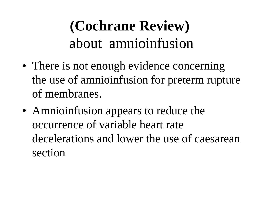#### **(Cochrane Review)** about amnioinfusion

- There is not enough evidence concerning the use of amnioinfusion for preterm rupture of membranes.
- Amnioinfusion appears to reduce the occurrence of variable heart rate decelerations and lower the use of caesarean section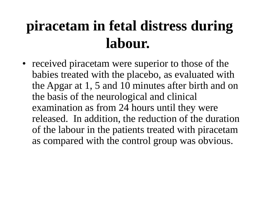#### **piracetam in fetal distress during labour.**

• received piracetam were superior to those of the babies treated with the placebo, as evaluated with the Apgar at 1, 5 and 10 minutes after birth and on the basis of the neurological and clinical examination as from 24 hours until they were released. In addition, the reduction of the duration of the labour in the patients treated with piracetam as compared with the control group was obvious.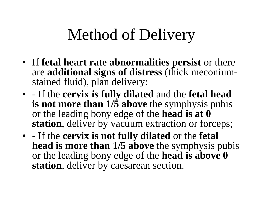## Method of Delivery

- If **fetal heart rate abnormalities persist** or there are **additional signs of distress** (thick meconiumstained fluid), plan delivery:
- - If the **cervix is fully dilated** and the **fetal head is not more than 1/5 above** the symphysis pubis or the leading bony edge of the **head is at 0 station**, deliver by vacuum extraction or forceps;
- - If the **cervix is not fully dilated** or the **fetal head is more than 1/5 above** the symphysis pubis or the leading bony edge of the **head is above 0 station**, deliver by caesarean section.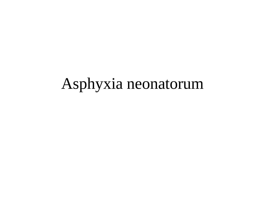#### Asphyxia neonatorum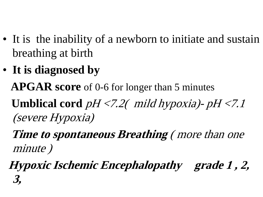- It is the inability of a newborn to initiate and sustain breathing at birth
- **It is diagnosed by**

**APGAR score** of 0-6 for longer than 5 minutes

**Umblical cord**  $pH < 7.2$  mild hypoxia)-  $pH < 7.1$ (severe Hypoxia)

**Time to spontaneous Breathing** ( more than one minute )

**Hypoxic Ischemic Encephalopathy grade 1 , 2, 3,**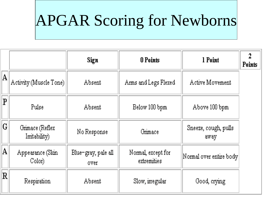#### APGAR Scoring for Newborns

|                             |                                 | Sign                         | 0 Points                          | 1 Point                      | 2<br><b>Points</b> |
|-----------------------------|---------------------------------|------------------------------|-----------------------------------|------------------------------|--------------------|
| $ \mathrm{A} $              | Activity (Muscle Tone)          | Absent                       | Arms and Legs Flexed              | Active Movement              |                    |
| $ \mathbf{P} $              | Pulse                           | Absent                       | Below 100 bpm                     | Above 100 bpm                |                    |
| $ \mathtt{G} $              | Grimace (Reflex)<br>Imtability) | No Response                  | Grimace                           | Sneeze, cough, pulls<br>away |                    |
| $ \mathrm{A} $              | Appearance (Skin<br>Color)      | Blue-gray, pale all<br>over. | Normal, except for<br>extremities | Normal over entire body      |                    |
| $\left  \mathbf{R} \right $ | Respiration                     | Absent                       | Slow, irregular                   | Good, crying                 |                    |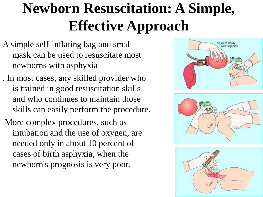#### **Newborn Resuscitation: A Simple, Effective Approach**

- A simple self-inflating bag and small mask can be used to resuscitate most newborns with asphyxia
- . In most cases, any skilled provider who is trained in good resuscitation skills and who continues to maintain those skills can easily perform the procedure.
- More complex procedures, such as intubation and the use of oxygen, are needed only in about 10 percent of cases of birth asphyxia, when the newborn's prognosis is very poor.





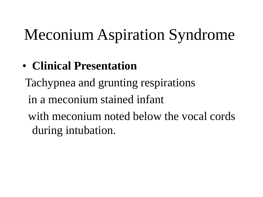#### Meconium Aspiration Syndrome

#### • **Clinical Presentation**

Tachypnea and grunting respirations in a meconium stained infant with meconium noted below the vocal cords during intubation.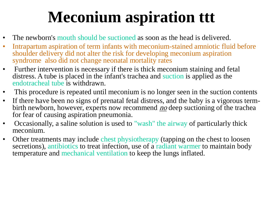## **Meconium aspiration ttt**

- The newborn's mouth should be suctioned as soon as the head is delivered.
- Intrapartum aspiration of term infants with meconium-stained amniotic fluid before shoulder delivery did not alter the risk for developing meconium aspiration syndrome also did not change neonatal mortality rates
- Further intervention is necessary if there is thick meconium staining and fetal distress. A tube is placed in the infant's trachea and suction is applied as the endotracheal tube is withdrawn.
- This procedure is repeated until meconium is no longer seen in the suction contents
- If there have been no signs of prenatal fetal distress, and the baby is a vigorous termbirth newborn, however, experts now recommend *no* deep suctioning of the trachea for fear of causing aspiration pneumonia.
- Occasionally, a saline solution is used to "wash" the airway of particularly thick meconium.
- Other treatments may include chest physiotherapy (tapping on the chest to loosen secretions), antibiotics to treat infection, use of a radiant warmer to maintain body temperature and mechanical ventilation to keep the lungs inflated.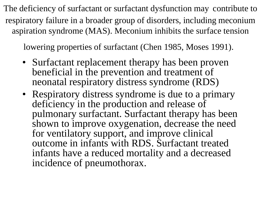The deficiency of surfactant or surfactant dysfunction may contribute to respiratory failure in a broader group of disorders, including meconium aspiration syndrome (MAS). Meconium inhibits the surface tension

lowering properties of surfactant (Chen 1985, Moses 1991).

- Surfactant replacement therapy has been proven beneficial in the prevention and treatment of neonatal respiratory distress syndrome (RDS)
- Respiratory distress syndrome is due to a primary deficiency in the production and release of pulmonary surfactant. Surfactant therapy has been shown to improve oxygenation, decrease the need for ventilatory support, and improve clinical outcome in infants with RDS. Surfactant treated infants have a reduced mortality and a decreased incidence of pneumothorax.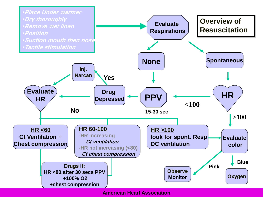

**American Heart Association**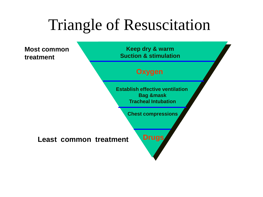#### Triangle of Resuscitation